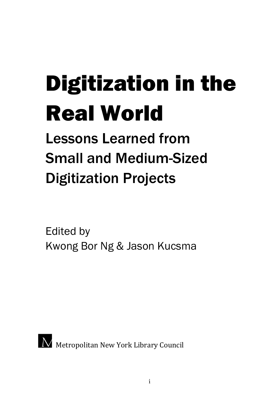# Digitization in the Real World

## Lessons Learned from Small and Medium-Sized Digitization Projects

Edited by Kwong Bor Ng & Jason Kucsma



 $\overline{\mathbf{N}}$  Metropolitan New York Library Council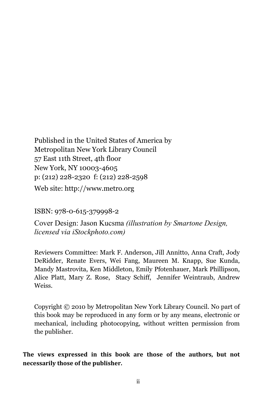Published in the United States of America by Metropolitan New York Library Council 57 East 11th Street, 4th floor New York, NY 10003-4605 p: (212) 228-2320 f: (212) 228-2598 Web site: http://www.metro.org

ISBN: 978-0-615-379998-2

Cover Design: Jason Kucsma *(illustration by Smartone Design, licensed via iStockphoto.com)*

Reviewers Committee: Mark F. Anderson, Jill Annitto, Anna Craft, Jody DeRidder, Renate Evers, Wei Fang, Maureen M. Knapp, Sue Kunda, Mandy Mastrovita, Ken Middleton, Emily Pfotenhauer, Mark Phillipson, Alice Platt, Mary Z. Rose, Stacy Schiff, Jennifer Weintraub, Andrew Weiss.

Copyright © 2010 by Metropolitan New York Library Council. No part of this book may be reproduced in any form or by any means, electronic or mechanical, including photocopying, without written permission from the publisher.

**The views expressed in this book are those of the authors, but not necessarily those of the publisher.**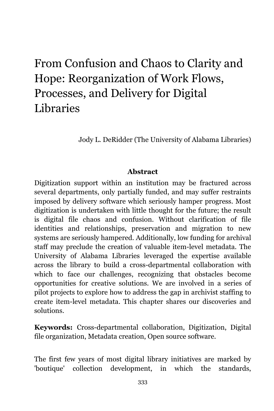### From Confusion and Chaos to Clarity and Hope: Reorganization of Work Flows, Processes, and Delivery for Digital Libraries

Jody L. DeRidder (The University of Alabama Libraries)

#### **Abstract**

Digitization support within an institution may be fractured across several departments, only partially funded, and may suffer restraints imposed by delivery software which seriously hamper progress. Most digitization is undertaken with little thought for the future; the result is digital file chaos and confusion. Without clarification of file identities and relationships, preservation and migration to new systems are seriously hampered. Additionally, low funding for archival staff may preclude the creation of valuable item-level metadata. The University of Alabama Libraries leveraged the expertise available across the library to build a cross-departmental collaboration with which to face our challenges, recognizing that obstacles become opportunities for creative solutions. We are involved in a series of pilot projects to explore how to address the gap in archivist staffing to create item-level metadata. This chapter shares our discoveries and solutions.

**Keywords:** Cross-departmental collaboration, Digitization, Digital file organization, Metadata creation, Open source software.

The first few years of most digital library initiatives are marked by 'boutique' collection development, in which the standards,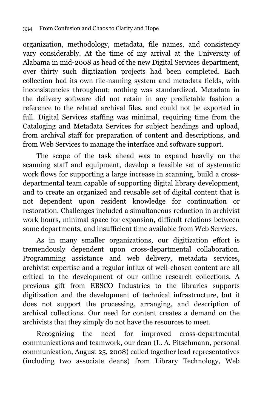organization, methodology, metadata, file names, and consistency vary considerably. At the time of my arrival at the University of Alabama in mid-2008 as head of the new Digital Services department, over thirty such digitization projects had been completed. Each collection had its own file-naming system and metadata fields, with inconsistencies throughout; nothing was standardized. Metadata in the delivery software did not retain in any predictable fashion a reference to the related archival files, and could not be exported in full. Digital Services staffing was minimal, requiring time from the Cataloging and Metadata Services for subject headings and upload, from archival staff for preparation of content and descriptions, and from Web Services to manage the interface and software support.

The scope of the task ahead was to expand heavily on the scanning staff and equipment, develop a feasible set of systematic work flows for supporting a large increase in scanning, build a crossdepartmental team capable of supporting digital library development, and to create an organized and reusable set of digital content that is not dependent upon resident knowledge for continuation or restoration. Challenges included a simultaneous reduction in archivist work hours, minimal space for expansion, difficult relations between some departments, and insufficient time available from Web Services.

As in many smaller organizations, our digitization effort is tremendously dependent upon cross-departmental collaboration. Programming assistance and web delivery, metadata services, archivist expertise and a regular influx of well-chosen content are all critical to the development of our online research collections. A previous gift from EBSCO Industries to the libraries supports digitization and the development of technical infrastructure, but it does not support the processing, arranging, and description of archival collections. Our need for content creates a demand on the archivists that they simply do not have the resources to meet.

Recognizing the need for improved cross-departmental communications and teamwork, our dean (L. A. Pitschmann, personal communication, August 25, 2008) called together lead representatives (including two associate deans) from Library Technology, Web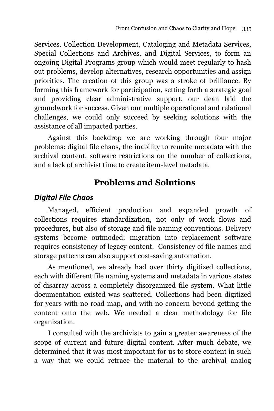Services, Collection Development, Cataloging and Metadata Services, Special Collections and Archives, and Digital Services, to form an ongoing Digital Programs group which would meet regularly to hash out problems, develop alternatives, research opportunities and assign priorities. The creation of this group was a stroke of brilliance. By forming this framework for participation, setting forth a strategic goal and providing clear administrative support, our dean laid the groundwork for success. Given our multiple operational and relational challenges, we could only succeed by seeking solutions with the assistance of all impacted parties.

Against this backdrop we are working through four major problems: digital file chaos, the inability to reunite metadata with the archival content, software restrictions on the number of collections, and a lack of archivist time to create item-level metadata.

#### **Problems and Solutions**

#### *Digital File Chaos*

Managed, efficient production and expanded growth of collections requires standardization, not only of work flows and procedures, but also of storage and file naming conventions. Delivery systems become outmoded; migration into replacement software requires consistency of legacy content. Consistency of file names and storage patterns can also support cost-saving automation.

As mentioned, we already had over thirty digitized collections, each with different file naming systems and metadata in various states of disarray across a completely disorganized file system. What little documentation existed was scattered. Collections had been digitized for years with no road map, and with no concern beyond getting the content onto the web. We needed a clear methodology for file organization.

I consulted with the archivists to gain a greater awareness of the scope of current and future digital content. After much debate, we determined that it was most important for us to store content in such a way that we could retrace the material to the archival analog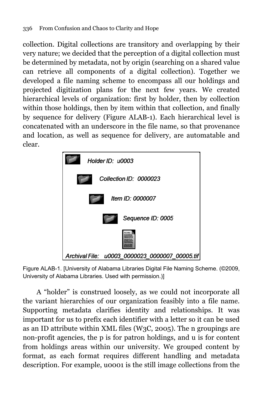collection. Digital collections are transitory and overlapping by their very nature; we decided that the perception of a digital collection must be determined by metadata, not by origin (searching on a shared value can retrieve all components of a digital collection). Together we developed a file naming scheme to encompass all our holdings and projected digitization plans for the next few years. We created hierarchical levels of organization: first by holder, then by collection within those holdings, then by item within that collection, and finally by sequence for delivery (Figure ALAB-1). Each hierarchical level is concatenated with an underscore in the file name, so that provenance and location, as well as sequence for delivery, are automatable and clear.



Figure ALAB-1. [University of Alabama Libraries Digital File Naming Scheme. (©2009, University of Alabama Libraries. Used with permission.)]

A "holder" is construed loosely, as we could not incorporate all the variant hierarchies of our organization feasibly into a file name. Supporting metadata clarifies identity and relationships. It was important for us to prefix each identifier with a letter so it can be used as an ID attribute within XML files (W3C, 2005). The n groupings are non-profit agencies, the p is for patron holdings, and u is for content from holdings areas within our university. We grouped content by format, as each format requires different handling and metadata description. For example, u0001 is the still image collections from the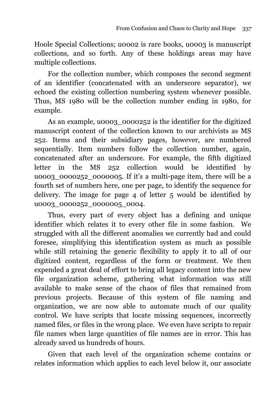Hoole Special Collections; u0002 is rare books, u0003 is manuscript collections, and so forth. Any of these holdings areas may have multiple collections.

For the collection number, which composes the second segment of an identifier (concatenated with an underscore separator), we echoed the existing collection numbering system whenever possible. Thus, MS 1980 will be the collection number ending in 1980, for example.

As an example, u0003 0000252 is the identifier for the digitized manuscript content of the collection known to our archivists as MS 252. Items and their subsidiary pages, however, are numbered sequentially. Item numbers follow the collection number, again, concatenated after an underscore. For example, the fifth digitized letter in the MS 252 collection would be identified by u0003\_0000252\_0000005. If it's a multi-page item, there will be a fourth set of numbers here, one per page, to identify the sequence for delivery. The image for page 4 of letter 5 would be identified by u0003\_0000252\_0000005\_0004.

Thus, every part of every object has a defining and unique identifier which relates it to every other file in some fashion. We struggled with all the different anomalies we currently had and could foresee, simplifying this identification system as much as possible while still retaining the generic flexibility to apply it to all of our digitized content, regardless of the form or treatment. We then expended a great deal of effort to bring all legacy content into the new file organization scheme, gathering what information was still available to make sense of the chaos of files that remained from previous projects. Because of this system of file naming and organization, we are now able to automate much of our quality control. We have scripts that locate missing sequences, incorrectly named files, or files in the wrong place. We even have scripts to repair file names when large quantities of file names are in error. This has already saved us hundreds of hours.

Given that each level of the organization scheme contains or relates information which applies to each level below it, our associate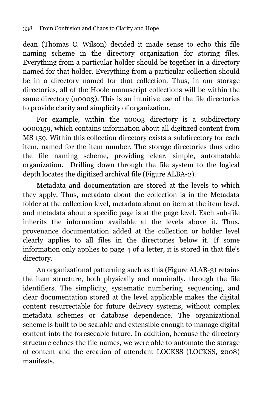dean (Thomas C. Wilson) decided it made sense to echo this file naming scheme in the directory organization for storing files. Everything from a particular holder should be together in a directory named for that holder. Everything from a particular collection should be in a directory named for that collection. Thus, in our storage directories, all of the Hoole manuscript collections will be within the same directory (u0003). This is an intuitive use of the file directories to provide clarity and simplicity of organization.

For example, within the u0003 directory is a subdirectory 0000159, which contains information about all digitized content from MS 159. Within this collection directory exists a subdirectory for each item, named for the item number. The storage directories thus echo the file naming scheme, providing clear, simple, automatable organization. Drilling down through the file system to the logical depth locates the digitized archival file (Figure ALBA-2).

Metadata and documentation are stored at the levels to which they apply. Thus, metadata about the collection is in the Metadata folder at the collection level, metadata about an item at the item level, and metadata about a specific page is at the page level. Each sub-file inherits the information available at the levels above it. Thus, provenance documentation added at the collection or holder level clearly applies to all files in the directories below it. If some information only applies to page 4 of a letter, it is stored in that file's directory.

An organizational patterning such as this (Figure ALAB-3) retains the item structure, both physically and nominally, through the file identifiers. The simplicity, systematic numbering, sequencing, and clear documentation stored at the level applicable makes the digital content resurrectable for future delivery systems, without complex metadata schemes or database dependence. The organizational scheme is built to be scalable and extensible enough to manage digital content into the foreseeable future. In addition, because the directory structure echoes the file names, we were able to automate the storage of content and the creation of attendant LOCKSS (LOCKSS, 2008) manifests.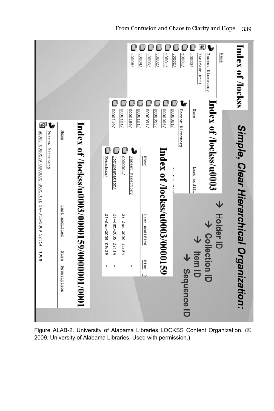|                                                       |                                                             |                   |                   |                   | /8000 <sup>m</sup>   | 76000m<br>$\frac{1}{2}$ | 7000m<br>72000m              | $\sqrt{2000}$<br><b>70004</b> | Manifest.html<br><b>MOOOS/</b> | œ,<br>Parent Directory<br>Name        | Index of /lockss                         |
|-------------------------------------------------------|-------------------------------------------------------------|-------------------|-------------------|-------------------|----------------------|-------------------------|------------------------------|-------------------------------|--------------------------------|---------------------------------------|------------------------------------------|
| œ                                                     | Name                                                        |                   | $76$ 720000       | 0000181/          | 71010000<br>0000159/ | 71600000                | 000053/<br>0000001           | 71000000<br>Parent Directory  | Name                           |                                       |                                          |
| Parent Directory                                      |                                                             | Metadata/         | Documentation/    | 7000000           | Parent Directory     | Name                    |                              | <b>DUUC-WATES</b>             | Last modifi                    | Index of /lockss/u0003                |                                          |
| u0003 0000159 0000001 0001.tif 26-Jun-2009 22:14 108M | Index of 7lockss/u0003/0000159/000001/0001<br>Last modified | 68:60 6002-unp-62 | 26-Jun-2009 22:14 | 26-Jun-2005 11:54 |                      | Last modified           | Index of /locksx50003/000159 |                               |                                | <b>→ Holder ID</b><br>→ Collection ID | Simple, Clear Hierarchical Organization: |
|                                                       | Size<br><b>Description</b>                                  |                   |                   |                   |                      | <b>Size</b>             |                              | A Sequence ID                 | → Item ID                      |                                       |                                          |

Figure ALAB-2. University of Alabama Libraries LOCKSS Content Organization. (© 2009, University of Alabama Libraries. Used with permission.)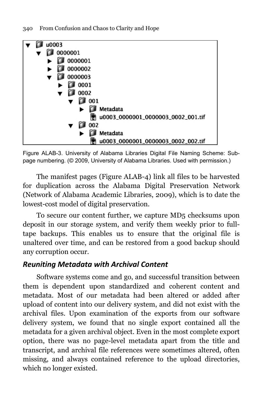

Figure ALAB-3. University of Alabama Libraries Digital File Naming Scheme: Subpage numbering. (© 2009, University of Alabama Libraries. Used with permission.)

The manifest pages (Figure ALAB-4) link all files to be harvested for duplication across the Alabama Digital Preservation Network (Network of Alabama Academic Libraries, 2009), which is to date the lowest-cost model of digital preservation.

To secure our content further, we capture MD5 checksums upon deposit in our storage system, and verify them weekly prior to fulltape backups. This enables us to ensure that the original file is unaltered over time, and can be restored from a good backup should any corruption occur.

#### *Reuniting Metadata with Archival Content*

Software systems come and go, and successful transition between them is dependent upon standardized and coherent content and metadata. Most of our metadata had been altered or added after upload of content into our delivery system, and did not exist with the archival files. Upon examination of the exports from our software delivery system, we found that no single export contained all the metadata for a given archival object. Even in the most complete export option, there was no page-level metadata apart from the title and transcript, and archival file references were sometimes altered, often missing, and always contained reference to the upload directories, which no longer existed.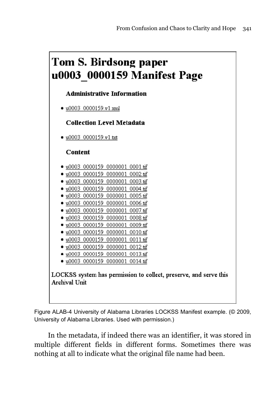

Figure ALAB-4 University of Alabama Libraries LOCKSS Manifest example. (© 2009, University of Alabama Libraries. Used with permission.)

In the metadata, if indeed there was an identifier, it was stored in multiple different fields in different forms. Sometimes there was nothing at all to indicate what the original file name had been.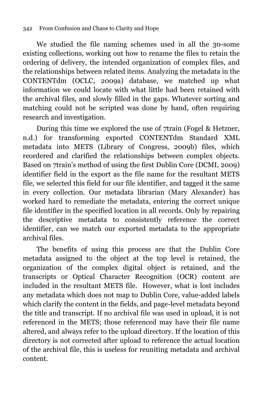We studied the file naming schemes used in all the 30-some existing collections, working out how to rename the files to retain the ordering of delivery, the intended organization of complex files, and the relationships between related items. Analyzing the metadata in the CONTENTdm (OCLC, 2009a) database, we matched up what information we could locate with what little had been retained with the archival files, and slowly filled in the gaps. Whatever sorting and matching could not be scripted was done by hand, often requiring research and investigation.

During this time we explored the use of 7train (Fogel & Hetzner, n.d.) for transforming exported CONTENTdm Standard XML metadata into METS (Library of Congress, 2009b) files, which reordered and clarified the relationships between complex objects. Based on 7train's method of using the first Dublin Core (DCMI, 2009) identifier field in the export as the file name for the resultant METS file, we selected this field for our file identifier, and tagged it the same in every collection. Our metadata librarian (Mary Alexander) has worked hard to remediate the metadata, entering the correct unique file identifier in the specified location in all records. Only by repairing the descriptive metadata to consistently reference the correct identifier, can we match our exported metadata to the appropriate archival files.

The benefits of using this process are that the Dublin Core metadata assigned to the object at the top level is retained, the organization of the complex digital object is retained, and the transcripts or Optical Character Recognition (OCR) content are included in the resultant METS file. However, what is lost includes any metadata which does not map to Dublin Core, value-added labels which clarify the content in the fields, and page-level metadata beyond the title and transcript. If no archival file was used in upload, it is not referenced in the METS; those referenced may have their file name altered, and always refer to the upload directory. If the location of this directory is not corrected after upload to reference the actual location of the archival file, this is useless for reuniting metadata and archival content.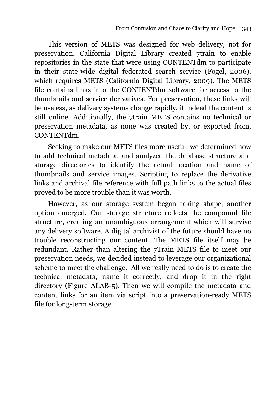This version of METS was designed for web delivery, not for preservation. California Digital Library created 7train to enable repositories in the state that were using CONTENTdm to participate in their state-wide digital federated search service (Fogel, 2006), which requires METS (California Digital Library, 2009). The METS file contains links into the CONTENTdm software for access to the thumbnails and service derivatives. For preservation, these links will be useless, as delivery systems change rapidly, if indeed the content is still online. Additionally, the 7train METS contains no technical or preservation metadata, as none was created by, or exported from, CONTENTdm.

Seeking to make our METS files more useful, we determined how to add technical metadata, and analyzed the database structure and storage directories to identify the actual location and name of thumbnails and service images. Scripting to replace the derivative links and archival file reference with full path links to the actual files proved to be more trouble than it was worth.

However, as our storage system began taking shape, another option emerged. Our storage structure reflects the compound file structure, creating an unambiguous arrangement which will survive any delivery software. A digital archivist of the future should have no trouble reconstructing our content. The METS file itself may be redundant. Rather than altering the 7Train METS file to meet our preservation needs, we decided instead to leverage our organizational scheme to meet the challenge. All we really need to do is to create the technical metadata, name it correctly, and drop it in the right directory (Figure ALAB-5). Then we will compile the metadata and content links for an item via script into a preservation-ready METS file for long-term storage.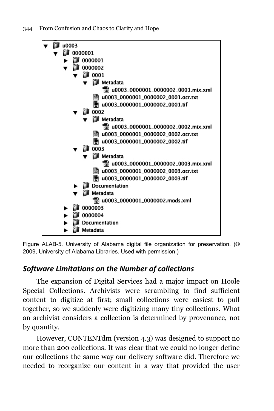

Figure ALAB-5. University of Alabama digital file organization for preservation. (© 2009, University of Alabama Libraries. Used with permission.)

#### *Software Limitations on the Number of collections*

The expansion of Digital Services had a major impact on Hoole Special Collections. Archivists were scrambling to find sufficient content to digitize at first; small collections were easiest to pull together, so we suddenly were digitizing many tiny collections. What an archivist considers a collection is determined by provenance, not by quantity.

However, CONTENTdm (version 4.3) was designed to support no more than 200 collections. It was clear that we could no longer define our collections the same way our delivery software did. Therefore we needed to reorganize our content in a way that provided the user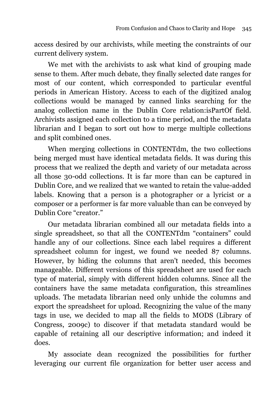access desired by our archivists, while meeting the constraints of our current delivery system.

We met with the archivists to ask what kind of grouping made sense to them. After much debate, they finally selected date ranges for most of our content, which corresponded to particular eventful periods in American History. Access to each of the digitized analog collections would be managed by canned links searching for the analog collection name in the Dublin Core relation:isPartOf field. Archivists assigned each collection to a time period, and the metadata librarian and I began to sort out how to merge multiple collections and split combined ones.

When merging collections in CONTENTdm, the two collections being merged must have identical metadata fields. It was during this process that we realized the depth and variety of our metadata across all those 30-odd collections. It is far more than can be captured in Dublin Core, and we realized that we wanted to retain the value-added labels. Knowing that a person is a photographer or a lyricist or a composer or a performer is far more valuable than can be conveyed by Dublin Core "creator."

Our metadata librarian combined all our metadata fields into a single spreadsheet, so that all the CONTENTdm "containers" could handle any of our collections. Since each label requires a different spreadsheet column for ingest, we found we needed 87 columns. However, by hiding the columns that aren't needed, this becomes manageable. Different versions of this spreadsheet are used for each type of material, simply with different hidden columns. Since all the containers have the same metadata configuration, this streamlines uploads. The metadata librarian need only unhide the columns and export the spreadsheet for upload. Recognizing the value of the many tags in use, we decided to map all the fields to MODS (Library of Congress, 2009c) to discover if that metadata standard would be capable of retaining all our descriptive information; and indeed it does.

My associate dean recognized the possibilities for further leveraging our current file organization for better user access and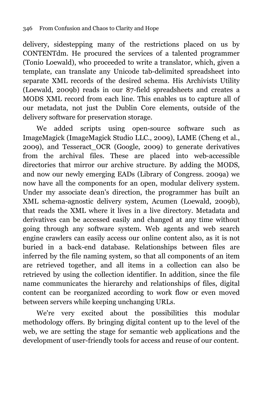delivery, sidestepping many of the restrictions placed on us by CONTENTdm. He procured the services of a talented programmer (Tonio Loewald), who proceeded to write a translator, which, given a template, can translate any Unicode tab-delimited spreadsheet into separate XML records of the desired schema. His Archivists Utility (Loewald, 2009b) reads in our 87-field spreadsheets and creates a MODS XML record from each line. This enables us to capture all of our metadata, not just the Dublin Core elements, outside of the delivery software for preservation storage.

We added scripts using open-source software such as ImageMagick (ImageMagick Studio LLC., 2009), LAME (Cheng et al., 2009), and Tesseract\_OCR (Google, 2009) to generate derivatives from the archival files. These are placed into web-accessible directories that mirror our archive structure. By adding the MODS, and now our newly emerging EADs (Library of Congress. 2009a) we now have all the components for an open, modular delivery system. Under my associate dean's direction, the programmer has built an XML schema-agnostic delivery system, Acumen (Loewald, 2009b), that reads the XML where it lives in a live directory. Metadata and derivatives can be accessed easily and changed at any time without going through any software system. Web agents and web search engine crawlers can easily access our online content also, as it is not buried in a back-end database. Relationships between files are inferred by the file naming system, so that all components of an item are retrieved together, and all items in a collection can also be retrieved by using the collection identifier. In addition, since the file name communicates the hierarchy and relationships of files, digital content can be reorganized according to work flow or even moved between servers while keeping unchanging URLs.

We're very excited about the possibilities this modular methodology offers. By bringing digital content up to the level of the web, we are setting the stage for semantic web applications and the development of user-friendly tools for access and reuse of our content.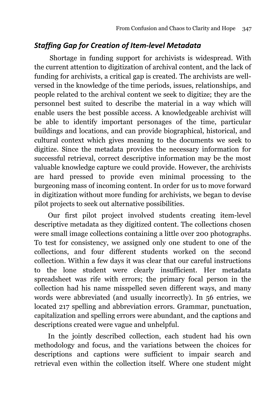#### *Staffing Gap for Creation of Item-level Metadata*

 Shortage in funding support for archivists is widespread. With the current attention to digitization of archival content, and the lack of funding for archivists, a critical gap is created. The archivists are wellversed in the knowledge of the time periods, issues, relationships, and people related to the archival content we seek to digitize; they are the personnel best suited to describe the material in a way which will enable users the best possible access. A knowledgeable archivist will be able to identify important personages of the time, particular buildings and locations, and can provide biographical, historical, and cultural context which gives meaning to the documents we seek to digitize. Since the metadata provides the necessary information for successful retrieval, correct descriptive information may be the most valuable knowledge capture we could provide. However, the archivists are hard pressed to provide even minimal processing to the burgeoning mass of incoming content. In order for us to move forward in digitization without more funding for archivists, we began to devise pilot projects to seek out alternative possibilities.

Our first pilot project involved students creating item-level descriptive metadata as they digitized content. The collections chosen were small image collections containing a little over 200 photographs. To test for consistency, we assigned only one student to one of the collections, and four different students worked on the second collection. Within a few days it was clear that our careful instructions to the lone student were clearly insufficient. Her metadata spreadsheet was rife with errors; the primary focal person in the collection had his name misspelled seven different ways, and many words were abbreviated (and usually incorrectly). In 56 entries, we located 217 spelling and abbreviation errors. Grammar, punctuation, capitalization and spelling errors were abundant, and the captions and descriptions created were vague and unhelpful.

In the jointly described collection, each student had his own methodology and focus, and the variations between the choices for descriptions and captions were sufficient to impair search and retrieval even within the collection itself. Where one student might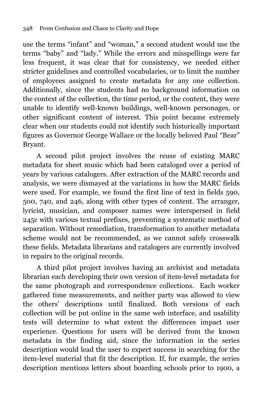use the terms "infant" and "woman," a second student would use the terms "baby" and "lady." While the errors and misspellings were far less frequent, it was clear that for consistency, we needed either stricter guidelines and controlled vocabularies, or to limit the number of employees assigned to create metadata for any one collection. Additionally, since the students had no background information on the context of the collection, the time period, or the content, they were unable to identify well-known buildings, well-known personages, or other significant content of interest. This point became extremely clear when our students could not identify such historically important figures as Governor George Wallace or the locally beloved Paul "Bear" Bryant.

A second pilot project involves the reuse of existing MARC metadata for sheet music which had been cataloged over a period of years by various catalogers. After extraction of the MARC records and analysis, we were dismayed at the variations in how the MARC fields were used. For example, we found the first line of text in fields 590, 500, 740, and 246, along with other types of content. The arranger, lyricist, musician, and composer names were interspersed in field 245c with various textual prefixes, preventing a systematic method of separation. Without remediation, transformation to another metadata scheme would not be recommended, as we cannot safely crosswalk these fields. Metadata librarians and catalogers are currently involved in repairs to the original records.

A third pilot project involves having an archivist and metadata librarian each developing their own version of item-level metadata for the same photograph and correspondence collections. Each worker gathered time measurements, and neither party was allowed to view the others' descriptions until finalized. Both versions of each collection will be put online in the same web interface, and usability tests will determine to what extent the differences impact user experience. Questions for users will be derived from the known metadata in the finding aid, since the information in the series description would lead the user to expect success in searching for the item-level material that fit the description. If, for example, the series description mentions letters about boarding schools prior to 1900, a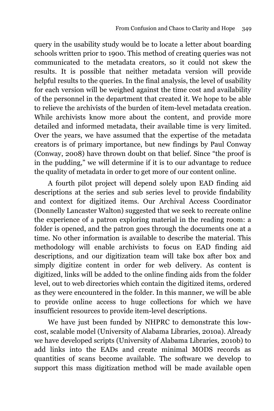query in the usability study would be to locate a letter about boarding schools written prior to 1900. This method of creating queries was not communicated to the metadata creators, so it could not skew the results. It is possible that neither metadata version will provide helpful results to the queries. In the final analysis, the level of usability for each version will be weighed against the time cost and availability of the personnel in the department that created it. We hope to be able to relieve the archivists of the burden of item-level metadata creation. While archivists know more about the content, and provide more detailed and informed metadata, their available time is very limited. Over the years, we have assumed that the expertise of the metadata creators is of primary importance, but new findings by Paul Conway (Conway, 2008) have thrown doubt on that belief. Since "the proof is in the pudding," we will determine if it is to our advantage to reduce the quality of metadata in order to get more of our content online.

A fourth pilot project will depend solely upon EAD finding aid descriptions at the series and sub series level to provide findability and context for digitized items. Our Archival Access Coordinator (Donnelly Lancaster Walton) suggested that we seek to recreate online the experience of a patron exploring material in the reading room: a folder is opened, and the patron goes through the documents one at a time. No other information is available to describe the material. This methodology will enable archivists to focus on EAD finding aid descriptions, and our digitization team will take box after box and simply digitize content in order for web delivery. As content is digitized, links will be added to the online finding aids from the folder level, out to web directories which contain the digitized items, ordered as they were encountered in the folder. In this manner, we will be able to provide online access to huge collections for which we have insufficient resources to provide item-level descriptions.

We have just been funded by NHPRC to demonstrate this lowcost, scalable model (University of Alabama Libraries, 2010a). Already we have developed scripts (University of Alabama Libraries, 2010b) to add links into the EADs and create minimal MODS records as quantities of scans become available. The software we develop to support this mass digitization method will be made available open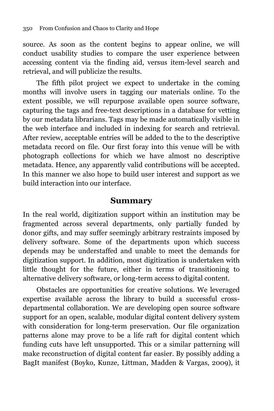source. As soon as the content begins to appear online, we will conduct usability studies to compare the user experience between accessing content via the finding aid, versus item-level search and retrieval, and will publicize the results.

The fifth pilot project we expect to undertake in the coming months will involve users in tagging our materials online. To the extent possible, we will repurpose available open source software, capturing the tags and free-text descriptions in a database for vetting by our metadata librarians. Tags may be made automatically visible in the web interface and included in indexing for search and retrieval. After review, acceptable entries will be added to the to the descriptive metadata record on file. Our first foray into this venue will be with photograph collections for which we have almost no descriptive metadata. Hence, any apparently valid contributions will be accepted. In this manner we also hope to build user interest and support as we build interaction into our interface.

#### **Summary**

In the real world, digitization support within an institution may be fragmented across several departments, only partially funded by donor gifts, and may suffer seemingly arbitrary restraints imposed by delivery software. Some of the departments upon which success depends may be understaffed and unable to meet the demands for digitization support. In addition, most digitization is undertaken with little thought for the future, either in terms of transitioning to alternative delivery software, or long-term access to digital content.

Obstacles are opportunities for creative solutions. We leveraged expertise available across the library to build a successful crossdepartmental collaboration. We are developing open source software support for an open, scalable, modular digital content delivery system with consideration for long-term preservation. Our file organization patterns alone may prove to be a life raft for digital content which funding cuts have left unsupported. This or a similar patterning will make reconstruction of digital content far easier. By possibly adding a BagIt manifest (Boyko, Kunze, Littman, Madden & Vargas, 2009), it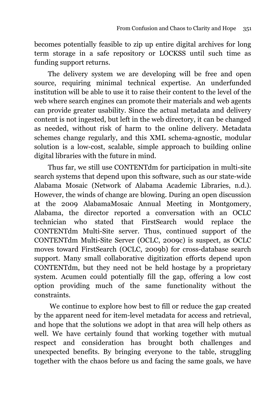becomes potentially feasible to zip up entire digital archives for long term storage in a safe repository or LOCKSS until such time as funding support returns.

The delivery system we are developing will be free and open source, requiring minimal technical expertise. An underfunded institution will be able to use it to raise their content to the level of the web where search engines can promote their materials and web agents can provide greater usability. Since the actual metadata and delivery content is not ingested, but left in the web directory, it can be changed as needed, without risk of harm to the online delivery. Metadata schemes change regularly, and this XML schema-agnostic, modular solution is a low-cost, scalable, simple approach to building online digital libraries with the future in mind.

Thus far, we still use CONTENTdm for participation in multi-site search systems that depend upon this software, such as our state-wide Alabama Mosaic (Network of Alabama Academic Libraries, n.d.). However, the winds of change are blowing. During an open discussion at the 2009 AlabamaMosaic Annual Meeting in Montgomery, Alabama, the director reported a conversation with an OCLC technician who stated that FirstSearch would replace the CONTENTdm Multi-Site server. Thus, continued support of the CONTENTdm Multi-Site Server (OCLC, 2009c) is suspect, as OCLC moves toward FirstSearch (OCLC, 2009b) for cross-database search support. Many small collaborative digitization efforts depend upon CONTENTdm, but they need not be held hostage by a proprietary system. Acumen could potentially fill the gap, offering a low cost option providing much of the same functionality without the constraints.

 We continue to explore how best to fill or reduce the gap created by the apparent need for item-level metadata for access and retrieval, and hope that the solutions we adopt in that area will help others as well. We have certainly found that working together with mutual respect and consideration has brought both challenges and unexpected benefits. By bringing everyone to the table, struggling together with the chaos before us and facing the same goals, we have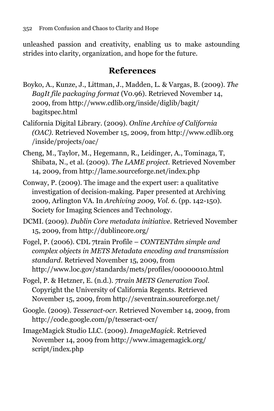unleashed passion and creativity, enabling us to make astounding strides into clarity, organization, and hope for the future.

#### **References**

- Boyko, A., Kunze, J., Littman, J., Madden, L. & Vargas, B. (2009). *The BagIt file packaging format* (V0.96). Retrieved November 14, 2009, from http://www.cdlib.org/inside/diglib/bagit/ bagitspec.html
- California Digital Library. (2009). *Online Archive of California (OAC).* Retrieved November 15, 2009, from http://www.cdlib.org /inside/projects/oac/
- Cheng, M., Taylor, M., Hegemann, R., Leidinger, A., Tominaga, T, Shibata, N., et al. (2009). *The LAME project.* Retrieved November 14, 2009, from http://lame.sourceforge.net/index.php
- Conway, P. (2009). The image and the expert user: a qualitative investigation of decision-making. Paper presented at Archiving 2009, Arlington VA. In *Archiving 2009, Vol. 6*. (pp. 142-150). Society for Imaging Sciences and Technology.
- DCMI. (2009). *Dublin Core metadata initiative*. Retrieved November 15, 2009, from http://dublincore.org/
- Fogel, P. (2006). CDL 7train Profile *CONTENTdm simple and complex objects in METS Metadata encoding and transmission standard*. Retrieved November 15, 2009, from http://www.loc.gov/standards/mets/profiles/00000010.html
- Fogel, P. & Hetzner, E. (n.d.). *7train METS Generation Tool.*  Copyright the University of California Regents. Retrieved November 15, 2009, from http://seventrain.sourceforge.net/
- Google. (2009). *Tesseract-ocr.* Retrieved November 14, 2009, from http://code.google.com/p/tesseract-ocr/

ImageMagick Studio LLC. (2009). *ImageMagick*. Retrieved November 14, 2009 from http://www.imagemagick.org/ script/index.php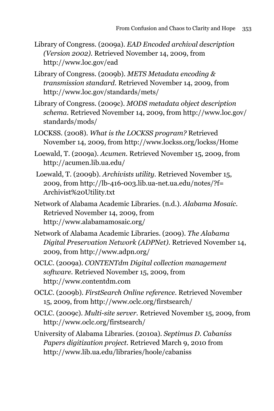- Library of Congress. (2009a). *EAD Encoded archival description (Version 2002).* Retrieved November 14, 2009, from http://www.loc.gov/ead
- Library of Congress. (2009b). *METS Metadata encoding & transmission standard.* Retrieved November 14, 2009, from http://www.loc.gov/standards/mets/
- Library of Congress. (2009c). *MODS metadata object description schema.* Retrieved November 14, 2009, from http://www.loc.gov/ standards/mods/
- LOCKSS. (2008). *What is the LOCKSS program?* Retrieved November 14, 2009, from http://www.lockss.org/lockss/Home
- Loewald, T. (2009a). *Acumen.* Retrieved November 15, 2009, from http://acumen.lib.ua.edu/
- Loewald, T. (2009b). *Archivists utility.* Retrieved November 15, 2009, from http://lb-416-003.lib.ua-net.ua.edu/notes/?f= Archivist%20Utility.txt
- Network of Alabama Academic Libraries. (n.d.). *Alabama Mosaic.*  Retrieved November 14, 2009, from http://www.alabamamosaic.org/
- Network of Alabama Academic Libraries. (2009). *The Alabama Digital Preservation Network (ADPNet)*. Retrieved November 14, 2009, from http://www.adpn.org/
- OCLC. (2009a). *CONTENTdm Digital collection management software.* Retrieved November 15, 2009, from http://www.contentdm.com
- OCLC. (2009b). *FirstSearch Online reference.* Retrieved November 15, 2009, from http://www.oclc.org/firstsearch/
- OCLC. (2009c). *Multi-site server.* Retrieved November 15, 2009, from http://www.oclc.org/firstsearch/
- University of Alabama Libraries. (2010a). *Septimus D. Cabaniss Papers digitization project.* Retrieved March 9, 2010 from http://www.lib.ua.edu/libraries/hoole/cabaniss